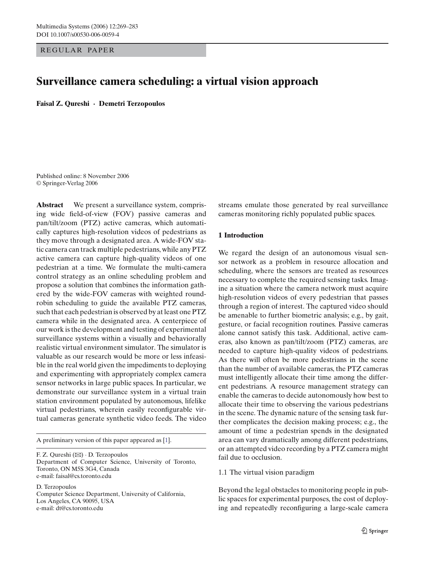REGULAR PAPER

# **Surveillance camera scheduling: a virtual vision approach**

**Faisal Z. Qureshi · Demetri Terzopoulos**

Published online: 8 November 2006 © Springer-Verlag 2006

**Abstract** We present a surveillance system, comprising wide field-of-view (FOV) passive cameras and pan/tilt/zoom (PTZ) active cameras, which automatically captures high-resolution videos of pedestrians as they move through a designated area. A wide-FOV static camera can track multiple pedestrians, while any PTZ active camera can capture high-quality videos of one pedestrian at a time. We formulate the multi-camera control strategy as an online scheduling problem and propose a solution that combines the information gathered by the wide-FOV cameras with weighted roundrobin scheduling to guide the available PTZ cameras, such that each pedestrian is observed by at least one PTZ camera while in the designated area. A centerpiece of our work is the development and testing of experimental surveillance systems within a visually and behaviorally realistic virtual environment simulator. The simulator is valuable as our research would be more or less infeasible in the real world given the impediments to deploying and experimenting with appropriately complex camera sensor networks in large public spaces. In particular, we demonstrate our surveillance system in a virtual train station environment populated by autonomous, lifelike virtual pedestrians, wherein easily reconfigurable virtual cameras generate synthetic video feeds. The video

A preliminary version of this paper appeared as [\[1\]](#page-14-0).

F. Z. Qureshi (B) · D. Terzopoulos Department of Computer Science, University of Toronto, Toronto, ON M5S 3G4, Canada e-mail: faisal@cs.toronto.edu

D. Terzopoulos Computer Science Department, University of California, Los Angeles, CA 90095, USA e-mail: dt@cs.toronto.edu

streams emulate those generated by real surveillance cameras monitoring richly populated public spaces.

# **1 Introduction**

We regard the design of an autonomous visual sensor network as a problem in resource allocation and scheduling, where the sensors are treated as resources necessary to complete the required sensing tasks. Imagine a situation where the camera network must acquire high-resolution videos of every pedestrian that passes through a region of interest. The captured video should be amenable to further biometric analysis; e.g., by gait, gesture, or facial recognition routines. Passive cameras alone cannot satisfy this task. Additional, active cameras, also known as pan/tilt/zoom (PTZ) cameras, are needed to capture high-quality videos of pedestrians. As there will often be more pedestrians in the scene than the number of available cameras, the PTZ cameras must intelligently allocate their time among the different pedestrians. A resource management strategy can enable the cameras to decide autonomously how best to allocate their time to observing the various pedestrians in the scene. The dynamic nature of the sensing task further complicates the decision making process; e.g., the amount of time a pedestrian spends in the designated area can vary dramatically among different pedestrians, or an attempted video recording by a PTZ camera might fail due to occlusion.

1.1 The virtual vision paradigm

Beyond the legal obstacles to monitoring people in public spaces for experimental purposes, the cost of deploying and repeatedly reconfiguring a large-scale camera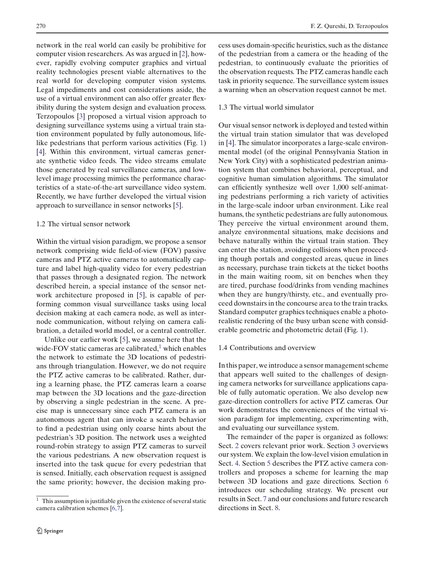network in the real world can easily be prohibitive for computer vision researchers. As was argued in [\[2\]](#page-14-1), however, rapidly evolving computer graphics and virtual reality technologies present viable alternatives to the real world for developing computer vision systems. Legal impediments and cost considerations aside, the use of a virtual environment can also offer greater flexibility during the system design and evaluation process. Terzopoulos [\[3](#page-14-2)] proposed a virtual vision approach to designing surveillance systems using a virtual train station environment populated by fully autonomous, lifelike pedestrians that perform various activities (Fig. [1\)](#page-2-0) [\[4](#page-14-3)]. Within this environment, virtual cameras generate synthetic video feeds. The video streams emulate those generated by real surveillance cameras, and lowlevel image processing mimics the performance characteristics of a state-of-the-art surveillance video system. Recently, we have further developed the virtual vision approach to surveillance in sensor networks [\[5\]](#page-14-4).

# 1.2 The virtual sensor network

Within the virtual vision paradigm, we propose a sensor network comprising wide field-of-view (FOV) passive cameras and PTZ active cameras to automatically capture and label high-quality video for every pedestrian that passes through a designated region. The network described herein, a special instance of the sensor network architecture proposed in [\[5\]](#page-14-4), is capable of performing common visual surveillance tasks using local decision making at each camera node, as well as internode communication, without relying on camera calibration, a detailed world model, or a central controller.

Unlike our earlier work [\[5](#page-14-4)], we assume here that the wide-FOV static cameras are calibrated, $\frac{1}{1}$  which enables the network to estimate the 3D locations of pedestrians through triangulation. However, we do not require the PTZ active cameras to be calibrated. Rather, during a learning phase, the PTZ cameras learn a coarse map between the 3D locations and the gaze-direction by observing a single pedestrian in the scene. A precise map is unnecessary since each PTZ camera is an autonomous agent that can invoke a search behavior to find a pedestrian using only coarse hints about the pedestrian's 3D position. The network uses a weighted round-robin strategy to assign PTZ cameras to surveil the various pedestrians. A new observation request is inserted into the task queue for every pedestrian that is sensed. Initially, each observation request is assigned the same priority; however, the decision making process uses domain-specific heuristics, such as the distance of the pedestrian from a camera or the heading of the pedestrian, to continuously evaluate the priorities of the observation requests. The PTZ cameras handle each task in priority sequence. The surveillance system issues a warning when an observation request cannot be met.

## 1.3 The virtual world simulator

Our visual sensor network is deployed and tested within the virtual train station simulator that was developed in [\[4](#page-14-3)]. The simulator incorporates a large-scale environmental model (of the original Pennsylvania Station in New York City) with a sophisticated pedestrian animation system that combines behavioral, perceptual, and cognitive human simulation algorithms. The simulator can efficiently synthesize well over 1,000 self-animating pedestrians performing a rich variety of activities in the large-scale indoor urban environment. Like real humans, the synthetic pedestrians are fully autonomous. They perceive the virtual environment around them, analyze environmental situations, make decisions and behave naturally within the virtual train station. They can enter the station, avoiding collisions when proceeding though portals and congested areas, queue in lines as necessary, purchase train tickets at the ticket booths in the main waiting room, sit on benches when they are tired, purchase food/drinks from vending machines when they are hungry/thirsty, etc., and eventually proceed downstairs in the concourse area to the train tracks. Standard computer graphics techniques enable a photorealistic rendering of the busy urban scene with considerable geometric and photometric detail (Fig. [1\)](#page-2-0).

# 1.4 Contributions and overview

In this paper, we introduce a sensor management scheme that appears well suited to the challenges of designing camera networks for surveillance applications capable of fully automatic operation. We also develop new gaze-direction controllers for active PTZ cameras. Our work demonstrates the conveniences of the virtual vision paradigm for implementing, experimenting with, and evaluating our surveillance system.

The remainder of the paper is organized as follows: Sect. [2](#page-2-1) covers relevant prior work. Section [3](#page-2-2) overviews our system. We explain the low-level vision emulation in Sect. [4.](#page-3-0) Section [5](#page-4-0) describes the PTZ active camera controllers and proposes a scheme for learning the map between 3D locations and gaze directions. Section [6](#page-6-0) introduces our scheduling strategy. We present our results in Sect. [7](#page-10-0) and our conclusions and future research directions in Sect. [8.](#page-13-0)

<span id="page-1-0"></span> $1$  This assumption is justifiable given the existence of several static camera calibration schemes [\[6](#page-14-5)[,7\]](#page-14-6).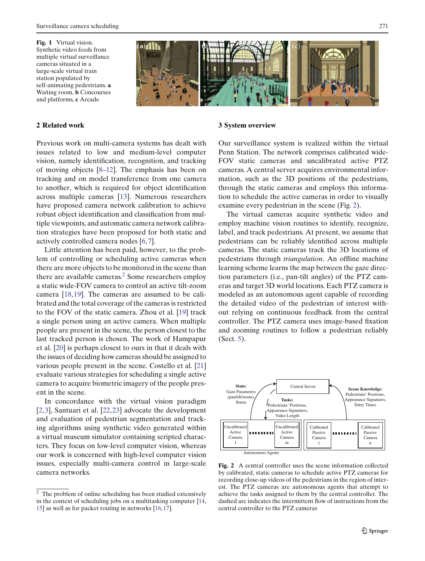<span id="page-2-0"></span>**Fig. 1** Virtual vision. Synthetic video feeds from multiple virtual surveillance cameras situated in a large-scale virtual train station populated by self-animating pedestrians. **a** Waiting room, **b** Concourses and platforms, **c** Arcade



#### <span id="page-2-1"></span>**2 Related work**

Previous work on multi-camera systems has dealt with issues related to low and medium-level computer vision, namely identification, recognition, and tracking of moving objects [\[8](#page-14-7)[–12\]](#page-14-8). The emphasis has been on tracking and on model transference from one camera to another, which is required for object identification across multiple cameras [\[13](#page-14-9)]. Numerous researchers have proposed camera network calibration to achieve robust object identification and classification from multiple viewpoints, and automatic camera network calibration strategies have been proposed for both static and actively controlled camera nodes [\[6](#page-14-5)[,7](#page-14-6)].

Little attention has been paid, however, to the problem of controlling or scheduling active cameras when there are more objects to be monitored in the scene than there are available cameras.<sup>2</sup> Some researchers employ a static wide-FOV camera to control an active tilt-zoom camera [\[18](#page-14-10),[19](#page-14-11)]. The cameras are assumed to be calibrated and the total coverage of the cameras is restricted to the FOV of the static camera. Zhou et al. [\[19\]](#page-14-11) track a single person using an active camera. When multiple people are present in the scene, the person closest to the last tracked person is chosen. The work of Hampapur et al. [\[20](#page-14-12)] is perhaps closest to ours in that it deals with the issues of deciding how cameras should be assigned to various people present in the scene. Costello et al. [\[21\]](#page-14-13) evaluate various strategies for scheduling a single active camera to acquire biometric imagery of the people present in the scene.

In concordance with the virtual vision paradigm [\[2](#page-14-1),[3\]](#page-14-2), Santuari et al. [\[22](#page-14-14),[23\]](#page-14-15) advocate the development and evaluation of pedestrian segmentation and tracking algorithms using synthetic video generated within a virtual museum simulator containing scripted characters. They focus on low-level computer vision, whereas our work is concerned with high-level computer vision issues, especially multi-camera control in large-scale camera networks.

#### <span id="page-2-2"></span>**3 System overview**

Our surveillance system is realized within the virtual Penn Station. The network comprises calibrated wide-FOV static cameras and uncalibrated active PTZ cameras. A central server acquires environmental information, such as the 3D positions of the pedestrians, through the static cameras and employs this information to schedule the active cameras in order to visually examine every pedestrian in the scene (Fig. [2\)](#page-2-4).

The virtual cameras acquire synthetic video and employ machine vision routines to identify, recognize, label, and track pedestrians. At present, we assume that pedestrians can be reliably identified across multiple cameras. The static cameras track the 3D locations of pedestrians through *triangulation*. An offline machine learning scheme learns the map between the gaze direction parameters (i.e., pan-tilt angles) of the PTZ cameras and target 3D world locations. Each PTZ camera is modeled as an autonomous agent capable of recording the detailed video of the pedestrian of interest without relying on continuous feedback from the central controller. The PTZ camera uses image-based fixation and zooming routines to follow a pedestrian reliably (Sect. [5\)](#page-4-0).



<span id="page-2-4"></span>**Fig. 2** A central controller uses the scene information collected by calibrated, static cameras to schedule active PTZ cameras for recording close-up videos of the pedestrians in the region of interest. The PTZ cameras are autonomous agents that attempt to achieve the tasks assigned to them by the central controller. The dashed arc indicates the intermittent flow of instructions from the central controller to the PTZ cameras

<span id="page-2-3"></span><sup>2</sup> The problem of online scheduling has been studied extensively in the context of scheduling jobs on a multitasking computer [\[14](#page-14-16), [15](#page-14-17)] as well as for packet routing in networks [\[16,](#page-14-18)[17](#page-14-19)].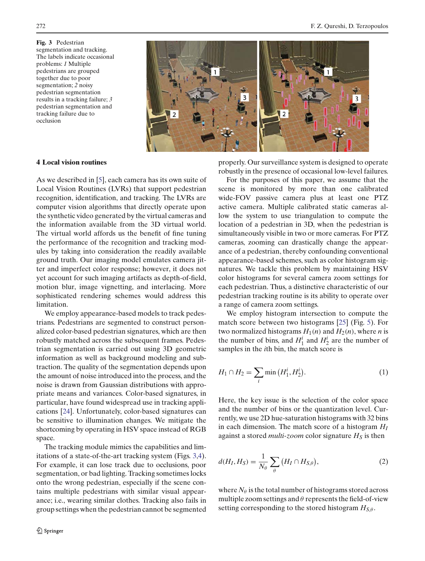<span id="page-3-1"></span>**Fig. 3** Pedestrian segmentation and tracking. The labels indicate occasional problems: *1* Multiple pedestrians are grouped together due to poor segmentation; *2* noisy pedestrian segmentation results in a tracking failure; *3* pedestrian segmentation and tracking failure due to occlusion



#### <span id="page-3-0"></span>**4 Local vision routines**

As we described in [\[5](#page-14-4)], each camera has its own suite of Local Vision Routines (LVRs) that support pedestrian recognition, identification, and tracking. The LVRs are computer vision algorithms that directly operate upon the synthetic video generated by the virtual cameras and the information available from the 3D virtual world. The virtual world affords us the benefit of fine tuning the performance of the recognition and tracking modules by taking into consideration the readily available ground truth. Our imaging model emulates camera jitter and imperfect color response; however, it does not yet account for such imaging artifacts as depth-of-field, motion blur, image vignetting, and interlacing. More sophisticated rendering schemes would address this limitation.

We employ appearance-based models to track pedestrians. Pedestrians are segmented to construct personalized color-based pedestrian signatures, which are then robustly matched across the subsequent frames. Pedestrian segmentation is carried out using 3D geometric information as well as background modeling and subtraction. The quality of the segmentation depends upon the amount of noise introduced into the process, and the noise is drawn from Gaussian distributions with appropriate means and variances. Color-based signatures, in particular, have found widespread use in tracking applications [\[24](#page-14-20)]. Unfortunately, color-based signatures can be sensitive to illumination changes. We mitigate the shortcoming by operating in HSV space instead of RGB space.

The tracking module mimics the capabilities and limitations of a state-of-the-art tracking system (Figs. [3](#page-3-1)[,4\)](#page-4-1). For example, it can lose track due to occlusions, poor segmentation, or bad lighting. Tracking sometimes locks onto the wrong pedestrian, especially if the scene contains multiple pedestrians with similar visual appearance; i.e., wearing similar clothes. Tracking also fails in group settings when the pedestrian cannot be segmented properly. Our surveillance system is designed to operate robustly in the presence of occasional low-level failures.

For the purposes of this paper, we assume that the scene is monitored by more than one calibrated wide-FOV passive camera plus at least one PTZ active camera. Multiple calibrated static cameras allow the system to use triangulation to compute the location of a pedestrian in 3D, when the pedestrian is simultaneously visible in two or more cameras. For PTZ cameras, zooming can drastically change the appearance of a pedestrian, thereby confounding conventional appearance-based schemes, such as color histogram signatures. We tackle this problem by maintaining HSV color histograms for several camera zoom settings for each pedestrian. Thus, a distinctive characteristic of our pedestrian tracking routine is its ability to operate over a range of camera zoom settings.

We employ histogram intersection to compute the match score between two histograms [\[25\]](#page-14-21) (Fig. [5\)](#page-4-2). For two normalized histograms  $H_1(n)$  and  $H_2(n)$ , where *n* is the number of bins, and  $H_1^i$  and  $H_2^i$  are the number of samples in the *i*th bin, the match score is

$$
H_1 \cap H_2 = \sum_i \min\left(H_1^i, H_2^i\right). \tag{1}
$$

Here, the key issue is the selection of the color space and the number of bins or the quantization level. Currently, we use 2D hue-saturation histograms with 32 bins in each dimension. The match score of a histogram *HI* against a stored *multi-zoom* color signature *HS* is then

$$
d(H_I, H_S) = \frac{1}{N_\theta} \sum_{\theta} \left( H_I \cap H_{S,\theta} \right),\tag{2}
$$

where  $N_{\theta}$  is the total number of histograms stored across multiple zoom settings and  $\theta$  represents the field-of-view setting corresponding to the stored histogram  $H_{S,\theta}$ .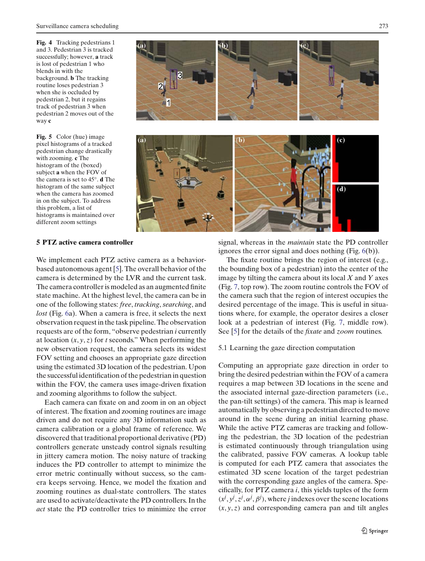<span id="page-4-1"></span>**Fig. 4** Tracking pedestrians 1 and 3. Pedestrian 3 is tracked successfully; however, **a** track is lost of pedestrian 1 who blends in with the background. **b** The tracking routine loses pedestrian 3 when she is occluded by pedestrian 2, but it regains track of pedestrian 3 when pedestrian 2 moves out of the way **c**

<span id="page-4-2"></span>**Fig. 5** Color (hue) image pixel histograms of a tracked pedestrian change drastically with zooming. **c** The histogram of the (boxed) subject **a** when the FOV of the camera is set to 45◦. **d** The histogram of the same subject when the camera has zoomed in on the subject. To address this problem, a list of histograms is maintained over different zoom settings

# <span id="page-4-0"></span>**5 PTZ active camera controller**

We implement each PTZ active camera as a behaviorbased autonomous agent [\[5](#page-14-4)]. The overall behavior of the camera is determined by the LVR and the current task. The camera controller is modeled as an augmented finite state machine. At the highest level, the camera can be in one of the following states: *free*, *tracking*, *searching*, and *lost* (Fig. [6a](#page-5-0)). When a camera is free, it selects the next observation request in the task pipeline. The observation requests are of the form, "observe pedestrian *i* currently at location  $(x, y, z)$  for *t* seconds." When performing the new observation request, the camera selects its widest FOV setting and chooses an appropriate gaze direction using the estimated 3D location of the pedestrian. Upon the successful identification of the pedestrian in question within the FOV, the camera uses image-driven fixation and zooming algorithms to follow the subject.

Each camera can fixate on and zoom in on an object of interest. The fixation and zooming routines are image driven and do not require any 3D information such as camera calibration or a global frame of reference. We discovered that traditional proportional derivative (PD) controllers generate unsteady control signals resulting in jittery camera motion. The noisy nature of tracking induces the PD controller to attempt to minimize the error metric continually without success, so the camera keeps servoing. Hence, we model the fixation and zooming routines as dual-state controllers. The states are used to activate/deactivate the PD controllers. In the *act* state the PD controller tries to minimize the error

signal, whereas in the *maintain* state the PD controller ignores the error signal and does nothing (Fig. [6\(](#page-5-0)b)).

The fixate routine brings the region of interest (e.g., the bounding box of a pedestrian) into the center of the image by tilting the camera about its local *X* and *Y* axes (Fig. [7,](#page-5-1) top row). The zoom routine controls the FOV of the camera such that the region of interest occupies the desired percentage of the image. This is useful in situations where, for example, the operator desires a closer look at a pedestrian of interest (Fig. [7,](#page-5-1) middle row). See [\[5](#page-14-4)] for the details of the *fixate* and *zoom* routines.

#### 5.1 Learning the gaze direction computation

Computing an appropriate gaze direction in order to bring the desired pedestrian within the FOV of a camera requires a map between 3D locations in the scene and the associated internal gaze-direction parameters (i.e., the pan-tilt settings) of the camera. This map is learned automatically by observing a pedestrian directed to move around in the scene during an initial learning phase. While the active PTZ cameras are tracking and following the pedestrian, the 3D location of the pedestrian is estimated continuously through triangulation using the calibrated, passive FOV cameras. A lookup table is computed for each PTZ camera that associates the estimated 3D scene location of the target pedestrian with the corresponding gaze angles of the camera. Specifically, for PTZ camera *i*, this yields tuples of the form  $(x^j, y^j, z^j, \alpha^j, \beta^j)$ , where *j* indexes over the scene locations  $(x, y, z)$  and corresponding camera pan and tilt angles

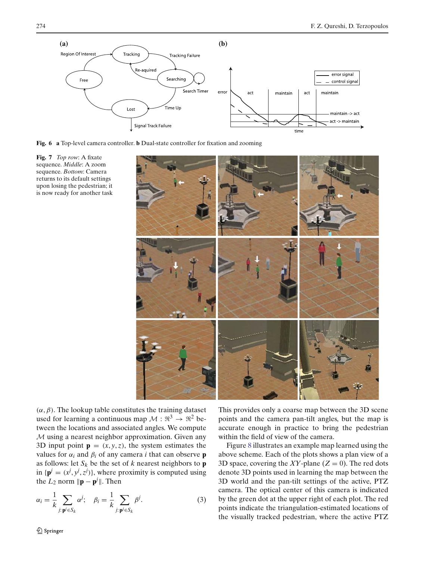

<span id="page-5-0"></span>**Fig. 6 a** Top-level camera controller. **b** Dual-state controller for fixation and zooming

<span id="page-5-1"></span>**Fig. 7** *Top row*: A fixate sequence. *Middle*: A zoom sequence. *Bottom*: Camera returns to its default settings upon losing the pedestrian; it is now ready for another task



 $(\alpha, \beta)$ . The lookup table constitutes the training dataset used for learning a continuous map  $\mathcal{M}: \mathbb{R}^3 \to \mathbb{R}^2$  between the locations and associated angles. We compute *M* using a nearest neighbor approximation. Given any 3D input point  $\mathbf{p} = (x, y, z)$ , the system estimates the values for  $\alpha_i$  and  $\beta_i$  of any camera *i* that can observe **p** as follows: let  $S_k$  be the set of  $k$  nearest neighbors to **p** in  ${\bf p}^j = (x^j, y^j, z^j)$ , where proximity is computed using the  $L_2$  norm  $\|\mathbf{p} - \mathbf{p}^j\|$ . Then

$$
\alpha_i = \frac{1}{k} \sum_{j: \mathbf{p}^j \in S_k} \alpha^j; \quad \beta_i = \frac{1}{k} \sum_{j: \mathbf{p}^j \in S_k} \beta^j.
$$
 (3)

**◯** Springer

This provides only a coarse map between the 3D scene points and the camera pan-tilt angles, but the map is accurate enough in practice to bring the pedestrian within the field of view of the camera.

Figure [8](#page-6-1) illustrates an example map learned using the above scheme. Each of the plots shows a plan view of a 3D space, covering the  $XY$ -plane ( $Z = 0$ ). The red dots denote 3D points used in learning the map between the 3D world and the pan-tilt settings of the active, PTZ camera. The optical center of this camera is indicated by the green dot at the upper right of each plot. The red points indicate the triangulation-estimated locations of the visually tracked pedestrian, where the active PTZ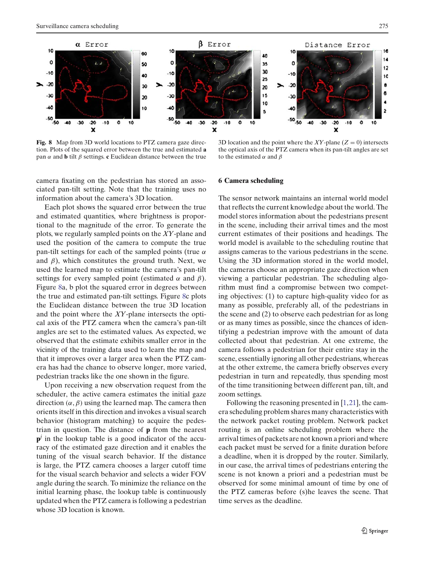

<span id="page-6-1"></span>**Fig. 8** Map from 3D world locations to PTZ camera gaze direction. Plots of the squared error between the true and estimated **a** pan α and **b** tilt β settings. **c** Euclidean distance between the true

3D location and the point where the  $XY$ -plane ( $Z = 0$ ) intersects the optical axis of the PTZ camera when its pan-tilt angles are set to the estimated  $\alpha$  and  $\beta$ 

camera fixating on the pedestrian has stored an associated pan-tilt setting. Note that the training uses no information about the camera's 3D location.

Each plot shows the squared error between the true and estimated quantities, where brightness is proportional to the magnitude of the error. To generate the plots, we regularly sampled points on the *XY*-plane and used the position of the camera to compute the true pan-tilt settings for each of the sampled points (true  $\alpha$ and  $\beta$ ), which constitutes the ground truth. Next, we used the learned map to estimate the camera's pan-tilt settings for every sampled point (estimated  $\alpha$  and  $\beta$ ). Figure [8a](#page-6-1), b plot the squared error in degrees between the true and estimated pan-tilt settings. Figure [8c](#page-6-1) plots the Euclidean distance between the true 3D location and the point where the *XY*-plane intersects the optical axis of the PTZ camera when the camera's pan-tilt angles are set to the estimated values. As expected, we observed that the estimate exhibits smaller error in the vicinity of the training data used to learn the map and that it improves over a larger area when the PTZ camera has had the chance to observe longer, more varied, pedestrian tracks like the one shown in the figure.

Upon receiving a new observation request from the scheduler, the active camera estimates the initial gaze direction  $(\alpha, \beta)$  using the learned map. The camera then orients itself in this direction and invokes a visual search behavior (histogram matching) to acquire the pedestrian in question. The distance of **p** from the nearest  $p^j$  in the lookup table is a good indicator of the accuracy of the estimated gaze direction and it enables the tuning of the visual search behavior. If the distance is large, the PTZ camera chooses a larger cutoff time for the visual search behavior and selects a wider FOV angle during the search. To minimize the reliance on the initial learning phase, the lookup table is continuously updated when the PTZ camera is following a pedestrian whose 3D location is known.

## <span id="page-6-0"></span>**6 Camera scheduling**

The sensor network maintains an internal world model that reflects the current knowledge about the world. The model stores information about the pedestrians present in the scene, including their arrival times and the most current estimates of their positions and headings. The world model is available to the scheduling routine that assigns cameras to the various pedestrians in the scene. Using the 3D information stored in the world model, the cameras choose an appropriate gaze direction when viewing a particular pedestrian. The scheduling algorithm must find a compromise between two competing objectives: (1) to capture high-quality video for as many as possible, preferably all, of the pedestrians in the scene and (2) to observe each pedestrian for as long or as many times as possible, since the chances of identifying a pedestrian improve with the amount of data collected about that pedestrian. At one extreme, the camera follows a pedestrian for their entire stay in the scene, essentially ignoring all other pedestrians, whereas at the other extreme, the camera briefly observes every pedestrian in turn and repeatedly, thus spending most of the time transitioning between different pan, tilt, and zoom settings.

Following the reasoning presented in [\[1](#page-14-0)[,21](#page-14-13)], the camera scheduling problem shares many characteristics with the network packet routing problem. Network packet routing is an online scheduling problem where the arrival times of packets are not known a priori and where each packet must be served for a finite duration before a deadline, when it is dropped by the router. Similarly, in our case, the arrival times of pedestrians entering the scene is not known a priori and a pedestrian must be observed for some minimal amount of time by one of the PTZ cameras before (s)he leaves the scene. That time serves as the deadline.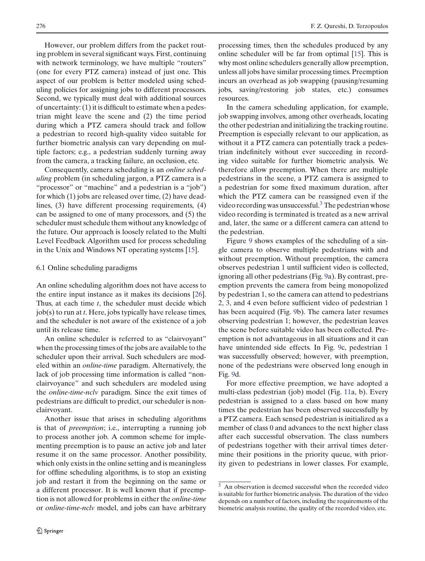However, our problem differs from the packet routing problem in several significant ways. First, continuing with network terminology, we have multiple "routers" (one for every PTZ camera) instead of just one. This aspect of our problem is better modeled using scheduling policies for assigning jobs to different processors. Second, we typically must deal with additional sources of uncertainty: (1) it is difficult to estimate when a pedestrian might leave the scene and (2) the time period during which a PTZ camera should track and follow a pedestrian to record high-quality video suitable for further biometric analysis can vary depending on multiple factors; e.g., a pedestrian suddenly turning away from the camera, a tracking failure, an occlusion, etc.

Consequently, camera scheduling is an *online scheduling* problem (in scheduling jargon, a PTZ camera is a "processor" or "machine" and a pedestrian is a "job") for which (1) jobs are released over time, (2) have deadlines, (3) have different processing requirements, (4) can be assigned to one of many processors, and (5) the scheduler must schedule them without any knowledge of the future. Our approach is loosely related to the Multi Level Feedback Algorithm used for process scheduling in the Unix and Windows NT operating systems [\[15](#page-14-17)].

# 6.1 Online scheduling paradigms

An online scheduling algorithm does not have access to the entire input instance as it makes its decisions [\[26](#page-14-22)]. Thus, at each time *t*, the scheduler must decide which job(s) to run at *t*. Here, jobs typically have release times, and the scheduler is not aware of the existence of a job until its release time.

An online scheduler is referred to as "clairvoyant" when the processing times of the jobs are available to the scheduler upon their arrival. Such schedulers are modeled within an *online-time* paradigm. Alternatively, the lack of job processing time information is called "nonclairvoyance" and such schedulers are modeled using the *online-time-nclv* paradigm. Since the exit times of pedestrians are difficult to predict, our scheduler is nonclairvoyant.

Another issue that arises in scheduling algorithms is that of *preemption*; i.e., interrupting a running job to process another job. A common scheme for implementing preemption is to pause an active job and later resume it on the same processor. Another possibility, which only exists in the online setting and is meaningless for offline scheduling algorithms, is to stop an existing job and restart it from the beginning on the same or a different processor. It is well known that if preemption is not allowed for problems in either the *online-time* or *online-time-nclv* model, and jobs can have arbitrary processing times, then the schedules produced by any online scheduler will be far from optimal [\[15](#page-14-17)]. This is why most online schedulers generally allow preemption, unless all jobs have similar processing times. Preemption incurs an overhead as job swapping (pausing/resuming jobs, saving/restoring job states, etc.) consumes resources.

In the camera scheduling application, for example, job swapping involves, among other overheads, locating the other pedestrian and initializing the tracking routine. Preemption is especially relevant to our application, as without it a PTZ camera can potentially track a pedestrian indefinitely without ever succeeding in recording video suitable for further biometric analysis. We therefore allow preemption. When there are multiple pedestrians in the scene, a PTZ camera is assigned to a pedestrian for some fixed maximum duration, after which the PTZ camera can be reassigned even if the video recording was unsuccessful[.3](#page-7-0) The pedestrian whose video recording is terminated is treated as a new arrival and, later, the same or a different camera can attend to the pedestrian.

Figure [9](#page-8-0) shows examples of the scheduling of a single camera to observe multiple pedestrians with and without preemption. Without preemption, the camera observes pedestrian 1 until sufficient video is collected, ignoring all other pedestrians (Fig. [9a](#page-8-0)). By contrast, preemption prevents the camera from being monopolized by pedestrian 1, so the camera can attend to pedestrians 2, 3, and 4 even before sufficient video of pedestrian 1 has been acquired (Fig. [9b](#page-8-0)). The camera later resumes observing pedestrian 1; however, the pedestrian leaves the scene before suitable video has been collected. Preemption is not advantageous in all situations and it can have unintended side effects. In Fig. [9c](#page-8-0), pedestrian 1 was successfully observed; however, with preemption, none of the pedestrians were observed long enough in Fig. [9d](#page-8-0).

For more effective preemption, we have adopted a multi-class pedestrian (job) model (Fig. [11a](#page-9-0), b). Every pedestrian is assigned to a class based on how many times the pedestrian has been observed successfully by a PTZ camera. Each sensed pedestrian is initialized as a member of class 0 and advances to the next higher class after each successful observation. The class numbers of pedestrians together with their arrival times determine their positions in the priority queue, with priority given to pedestrians in lower classes. For example,

<span id="page-7-0"></span><sup>&</sup>lt;sup>3</sup> An observation is deemed successful when the recorded video is suitable for further biometric analysis. The duration of the video depends on a number of factors, including the requirements of the biometric analysis routine, the quality of the recorded video, etc.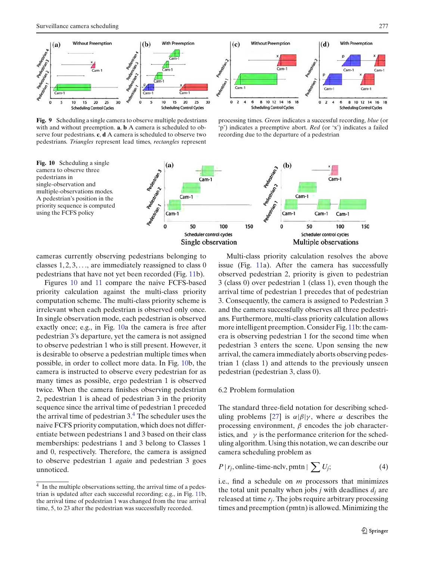![](_page_8_Figure_1.jpeg)

<span id="page-8-0"></span>**Fig. 9** Scheduling a single camera to observe multiple pedestrians with and without preemption. **a**, **b** A camera is scheduled to observe four pedestrians. **c**, **d** A camera is scheduled to observe two pedestrians. *Triangles* represent lead times, *rectangles* represent

![](_page_8_Figure_3.jpeg)

processing times. *Green* indicates a successful recording, *blue* (or 'p') indicates a preemptive abort. *Red* (or 'x') indicates a failed recording due to the departure of a pedestrian

<span id="page-8-1"></span>![](_page_8_Figure_5.jpeg)

cameras currently observing pedestrians belonging to classes  $1, 2, 3, \ldots$ , are immediately reassigned to class 0 pedestrians that have not yet been recorded (Fig. [11b](#page-9-0)).

Figures [10](#page-8-1) and [11](#page-9-0) compare the naive FCFS-based priority calculation against the multi-class priority computation scheme. The multi-class priority scheme is irrelevant when each pedestrian is observed only once. In single observation mode, each pedestrian is observed exactly once; e.g., in Fig. [10a](#page-8-1) the camera is free after pedestrian 3's departure, yet the camera is not assigned to observe pedestrian 1 who is still present. However, it is desirable to observe a pedestrian multiple times when possible, in order to collect more data. In Fig. [10b](#page-8-1), the camera is instructed to observe every pedestrian for as many times as possible, ergo pedestrian 1 is observed twice. When the camera finishes observing pedestrian 2, pedestrian 1 is ahead of pedestrian 3 in the priority sequence since the arrival time of pedestrian 1 preceded the arrival time of pedestrian  $3<sup>4</sup>$  $3<sup>4</sup>$  $3<sup>4</sup>$ . The scheduler uses the naive FCFS priority computation, which does not differentiate between pedestrians 1 and 3 based on their class memberships: pedestrians 1 and 3 belong to Classes 1 and 0, respectively. Therefore, the camera is assigned to observe pedestrian 1 *again* and pedestrian 3 goes unnoticed.

Multi-class priority calculation resolves the above issue (Fig. [11a](#page-9-0)). After the camera has successfully observed pedestrian 2, priority is given to pedestrian 3 (class 0) over pedestrian 1 (class 1), even though the arrival time of pedestrian 1 precedes that of pedestrian 3. Consequently, the camera is assigned to Pedestrian 3 and the camera successfully observes all three pedestrians. Furthermore, multi-class priority calculation allows more intelligent preemption. Consider Fig. [11b](#page-9-0): the camera is observing pedestrian 1 for the second time when pedestrian 3 enters the scene. Upon sensing the new arrival, the camera immediately aborts observing pedestrian 1 (class 1) and attends to the previously unseen pedestrian (pedestrian 3, class 0).

#### 6.2 Problem formulation

The standard three-field notation for describing sched-uling problems [\[27](#page-14-23)] is  $\alpha|\beta|\gamma$ , where  $\alpha$  describes the processing environment,  $\beta$  encodes the job characteristics, and  $\gamma$  is the performance criterion for the scheduling algorithm. Using this notation, we can describe our camera scheduling problem as

<span id="page-8-3"></span>
$$
P|r_j, \text{online-time-nclv}, \text{pmtn} \mid \sum U_j; \tag{4}
$$

i.e., find a schedule on *m* processors that minimizes the total unit penalty when jobs  $j$  with deadlines  $d_j$  are released at time *rj*. The jobs require arbitrary processing times and preemption (pmtn) is allowed. Minimizing the

<span id="page-8-2"></span><sup>4</sup> In the multiple observations setting, the arrival time of a pedestrian is updated after each successful recording; e.g., in Fig. [11b](#page-9-0), the arrival time of pedestrian 1 was changed from the true arrival time, 5, to 23 after the pedestrian was successfully recorded.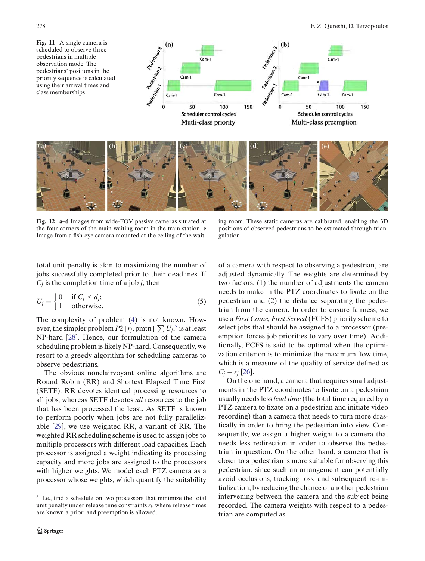$(a)$ 

<span id="page-9-0"></span>![](_page_9_Figure_3.jpeg)

<span id="page-9-2"></span>**Fig. 12 a–d** Images from wide-FOV passive cameras situated at the four corners of the main waiting room in the train station. **e** Image from a fish-eye camera mounted at the ceiling of the wait-

ing room. These static cameras are calibrated, enabling the 3D positions of observed pedestrians to be estimated through triangulation

total unit penalty is akin to maximizing the number of jobs successfully completed prior to their deadlines. If  $C_i$  is the completion time of a job *j*, then

$$
U_j = \begin{cases} 0 & \text{if } C_j \le d_j; \\ 1 & \text{otherwise.} \end{cases}
$$
 (5)

The complexity of problem [\(4\)](#page-8-3) is not known. However, the simpler problem *P*2 |  $r_j$ , pmtn |  $\sum U_j$ , <sup>[5](#page-9-1)</sup> is at least NP-hard [\[28\]](#page-14-24). Hence, our formulation of the camera scheduling problem is likely NP-hard. Consequently, we resort to a greedy algorithm for scheduling cameras to observe pedestrians.

The obvious nonclairvoyant online algorithms are Round Robin (RR) and Shortest Elapsed Time First (SETF). RR devotes identical processing resources to all jobs, whereas SETF devotes *all* resources to the job that has been processed the least. As SETF is known to perform poorly when jobs are not fully parallelizable [\[29](#page-14-25)], we use weighted RR, a variant of RR. The weighted RR scheduling scheme is used to assign jobs to multiple processors with different load capacities. Each processor is assigned a weight indicating its processing capacity and more jobs are assigned to the processors with higher weights. We model each PTZ camera as a processor whose weights, which quantify the suitability of a camera with respect to observing a pedestrian, are adjusted dynamically. The weights are determined by two factors: (1) the number of adjustments the camera needs to make in the PTZ coordinates to fixate on the pedestrian and (2) the distance separating the pedestrian from the camera. In order to ensure fairness, we use a *First Come, First Served* (FCFS) priority scheme to select jobs that should be assigned to a processor (preemption forces job priorities to vary over time). Additionally, FCFS is said to be optimal when the optimization criterion is to minimize the maximum flow time, which is a measure of the quality of service defined as  $C_i - r_j$  [\[26](#page-14-22)].

On the one hand, a camera that requires small adjustments in the PTZ coordinates to fixate on a pedestrian usually needs less *lead time* (the total time required by a PTZ camera to fixate on a pedestrian and initiate video recording) than a camera that needs to turn more drastically in order to bring the pedestrian into view. Consequently, we assign a higher weight to a camera that needs less redirection in order to observe the pedestrian in question. On the other hand, a camera that is closer to a pedestrian is more suitable for observing this pedestrian, since such an arrangement can potentially avoid occlusions, tracking loss, and subsequent re-initialization, by reducing the chance of another pedestrian intervening between the camera and the subject being recorded. The camera weights with respect to a pedestrian are computed as

<span id="page-9-1"></span><sup>5</sup> I.e., find a schedule on two processors that minimize the total unit penalty under release time constraints  $r_i$ , where release times are known a priori and preemption is allowed.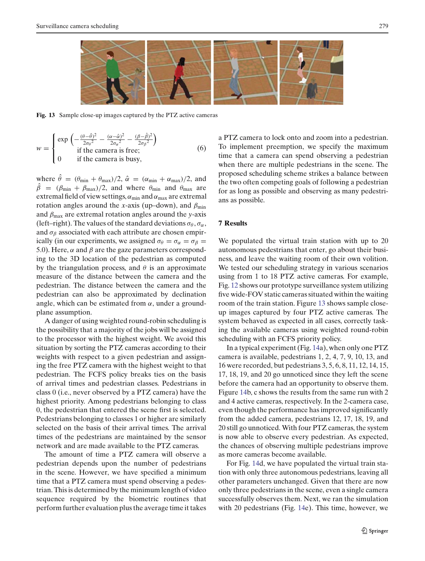![](_page_10_Picture_2.jpeg)

**Fig. 13** Sample close-up images captured by the PTZ active cameras

<span id="page-10-2"></span><span id="page-10-1"></span>
$$
w = \begin{cases} \exp\left(-\frac{(\theta - \hat{\theta})^2}{2\sigma_\theta^2} - \frac{(\alpha - \hat{\alpha})^2}{2\sigma_\theta^2} - \frac{(\beta - \hat{\beta})^2}{2\sigma_\beta^2}\right) \\ \text{if the camera is free;} \\ 0 \quad \text{if the camera is busy,} \end{cases} \tag{6}
$$

where  $\hat{\theta} = (\theta_{\min} + \theta_{\max})/2$ ,  $\hat{\alpha} = (\alpha_{\min} + \alpha_{\max})/2$ , and  $\hat{\beta} = (\beta_{\text{min}} + \beta_{\text{max}})/2$ , and where  $\theta_{\text{min}}$  and  $\theta_{\text{max}}$  are extremal field of view settings,  $\alpha_{\min}$  and  $\alpha_{\max}$  are extremal rotation angles around the *x*-axis (up–down), and  $\beta_{\text{min}}$ and  $\beta_{\text{max}}$  are extremal rotation angles around the *y*-axis (left–right). The values of the standard deviations  $\sigma_{\theta}$ ,  $\sigma_{\alpha}$ , and  $\sigma_{\beta}$  associated with each attribute are chosen empirically (in our experiments, we assigned  $\sigma_{\theta} = \sigma_{\alpha} = \sigma_{\beta} =$ 5.0). Here,  $\alpha$  and  $\beta$  are the gaze parameters corresponding to the 3D location of the pedestrian as computed by the triangulation process, and  $\theta$  is an approximate measure of the distance between the camera and the pedestrian. The distance between the camera and the pedestrian can also be approximated by declination angle, which can be estimated from  $\alpha$ , under a groundplane assumption.

A danger of using weighted round-robin scheduling is the possibility that a majority of the jobs will be assigned to the processor with the highest weight. We avoid this situation by sorting the PTZ cameras according to their weights with respect to a given pedestrian and assigning the free PTZ camera with the highest weight to that pedestrian. The FCFS policy breaks ties on the basis of arrival times and pedestrian classes. Pedestrians in class 0 (i.e., never observed by a PTZ camera) have the highest priority. Among pedestrians belonging to class 0, the pedestrian that entered the scene first is selected. Pedestrians belonging to classes 1 or higher are similarly selected on the basis of their arrival times. The arrival times of the pedestrians are maintained by the sensor network and are made available to the PTZ cameras.

The amount of time a PTZ camera will observe a pedestrian depends upon the number of pedestrians in the scene. However, we have specified a minimum time that a PTZ camera must spend observing a pedestrian. This is determined by the minimum length of video sequence required by the biometric routines that perform further evaluation plus the average time it takes a PTZ camera to lock onto and zoom into a pedestrian. To implement preemption, we specify the maximum time that a camera can spend observing a pedestrian when there are multiple pedestrians in the scene. The proposed scheduling scheme strikes a balance between the two often competing goals of following a pedestrian for as long as possible and observing as many pedestrians as possible.

# <span id="page-10-0"></span>**7 Results**

We populated the virtual train station with up to 20 autonomous pedestrians that enter, go about their business, and leave the waiting room of their own volition. We tested our scheduling strategy in various scenarios using from 1 to 18 PTZ active cameras. For example, Fig. [12](#page-9-2) shows our prototype surveillance system utilizing five wide-FOV static cameras situated within the waiting room of the train station. Figure [13](#page-10-1) shows sample closeup images captured by four PTZ active cameras. The system behaved as expected in all cases, correctly tasking the available cameras using weighted round-robin scheduling with an FCFS priority policy.

In a typical experiment (Fig. [14a](#page-11-0)), when only one PTZ camera is available, pedestrians 1, 2, 4, 7, 9, 10, 13, and 16 were recorded, but pedestrians 3, 5, 6, 8, 11, 12, 14, 15, 17, 18, 19, and 20 go unnoticed since they left the scene before the camera had an opportunity to observe them. Figure [14b](#page-11-0), c shows the results from the same run with 2 and 4 active cameras, respectively. In the 2-camera case, even though the performance has improved significantly from the added camera, pedestrians 12, 17, 18, 19, and 20 still go unnoticed. With four PTZ cameras, the system is now able to observe every pedestrian. As expected, the chances of observing multiple pedestrians improve as more cameras become available.

For Fig. [14d](#page-11-0), we have populated the virtual train station with only three autonomous pedestrians, leaving all other parameters unchanged. Given that there are now only three pedestrians in the scene, even a single camera successfully observes them. Next, we ran the simulation with 20 pedestrians (Fig. [14e](#page-11-0)). This time, however, we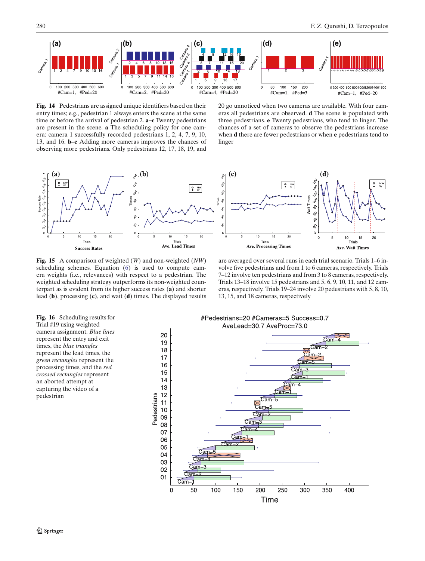![](_page_11_Figure_2.jpeg)

<span id="page-11-0"></span>**Fig. 14** Pedestrians are assigned unique identifiers based on their entry times; e.g., pedestrian 1 always enters the scene at the same time or before the arrival of pedestrian 2. **a–c** Twenty pedestrians are present in the scene. **a** The scheduling policy for one camera: camera 1 successfully recorded pedestrians 1, 2, 4, 7, 9, 10, 13, and 16. **b–c** Adding more cameras improves the chances of observing more pedestrians. Only pedestrians 12, 17, 18, 19, and

20 go unnoticed when two cameras are available. With four cameras all pedestrians are observed. **d** The scene is populated with three pedestrians. **e** Twenty pedestrians, who tend to linger. The chances of a set of cameras to observe the pedestrians increase when **d** there are fewer pedestrians or when **e** pedestrians tend to linger

![](_page_11_Figure_5.jpeg)

<span id="page-11-1"></span>**Fig. 15** A comparison of weighted (*W*) and non-weighted (*NW*) scheduling schemes. Equation [\(6\)](#page-10-2) is used to compute camera weights (i.e., relevances) with respect to a pedestrian. The weighted scheduling strategy outperforms its non-weighted counterpart as is evident from its higher success rates (**a**) and shorter lead (**b**), processing (**c**), and wait (**d**) times. The displayed results

are averaged over several runs in each trial scenario. Trials 1–6 involve five pedestrians and from 1 to 6 cameras, respectively. Trials 7–12 involve ten pedestrians and from 3 to 8 cameras, respectively. Trials 13–18 involve 15 pedestrians and 5, 6, 9, 10, 11, and 12 cameras, respectively. Trials 19–24 involve 20 pedestrians with 5, 8, 10, 13, 15, and 18 cameras, respectively

<span id="page-11-2"></span>**Fig. 16** Scheduling results for Trial #19 using weighted camera assignment. *Blue lines* represent the entry and exit times, the *blue triangles* represent the lead times, the *green rectangles* represent the processing times, and the *red crossed rectangles* represent an aborted attempt at capturing the video of a pedestrian

![](_page_11_Figure_9.jpeg)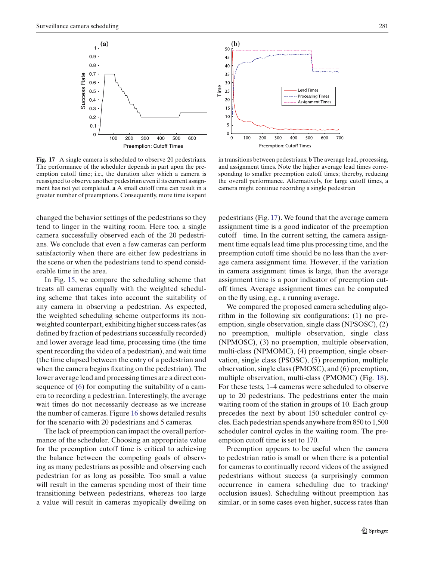Success Rate

![](_page_12_Figure_1.jpeg)

100 200 300 400 500 Preemption: Cutoff Times

![](_page_12_Figure_3.jpeg)

<span id="page-12-0"></span>**Fig. 17** A single camera is scheduled to observe 20 pedestrians. The performance of the scheduler depends in part upon the preemption cutoff time; i.e., the duration after which a camera is reassigned to observe another pedestrian even if its current assignment has not yet completed. **a** A small cutoff time can result in a greater number of preemptions. Consequently, more time is spent

in transitions between pedestrians; **b** The average lead, processing, and assignment times. Note the higher average lead times corresponding to smaller preemption cutoff times; thereby, reducing the overall performance. Alternatively, for large cutoff times, a camera might continue recording a single pedestrian

changed the behavior settings of the pedestrians so they tend to linger in the waiting room. Here too, a single camera successfully observed each of the 20 pedestrians. We conclude that even a few cameras can perform satisfactorily when there are either few pedestrians in the scene or when the pedestrians tend to spend considerable time in the area.

In Fig. [15,](#page-11-1) we compare the scheduling scheme that treats all cameras equally with the weighted scheduling scheme that takes into account the suitability of any camera in observing a pedestrian. As expected, the weighted scheduling scheme outperforms its nonweighted counterpart, exhibiting higher success rates (as defined by fraction of pedestrians successfully recorded) and lower average lead time, processing time (the time spent recording the video of a pedestrian), and wait time (the time elapsed between the entry of a pedestrian and when the camera begins fixating on the pedestrian). The lower average lead and processing times are a direct consequence of [\(6\)](#page-10-2) for computing the suitability of a camera to recording a pedestrian. Interestingly, the average wait times do not necessarily decrease as we increase the number of cameras. Figure [16](#page-11-2) shows detailed results for the scenario with 20 pedestrians and 5 cameras.

The lack of preemption can impact the overall performance of the scheduler. Choosing an appropriate value for the preemption cutoff time is critical to achieving the balance between the competing goals of observing as many pedestrians as possible and observing each pedestrian for as long as possible. Too small a value will result in the cameras spending most of their time transitioning between pedestrians, whereas too large a value will result in cameras myopically dwelling on pedestrians (Fig. [17\)](#page-12-0). We found that the average camera assignment time is a good indicator of the preemption cutoff time. In the current setting, the camera assignment time equals lead time plus processing time, and the preemption cutoff time should be no less than the average camera assignment time. However, if the variation in camera assignment times is large, then the average assignment time is a poor indicator of preemption cutoff times. Average assignment times can be computed on the fly using, e.g., a running average.

We compared the proposed camera scheduling algorithm in the following six configurations: (1) no preemption, single observation, single class (NPSOSC), (2) no preemption, multiple observation, single class (NPMOSC), (3) no preemption, multiple observation, multi-class (NPMOMC), (4) preemption, single observation, single class (PSOSC), (5) preemption, multiple observation, single class (PMOSC), and (6) preemption, multiple observation, multi-class (PMOMC) (Fig. [18\)](#page-13-1). For these tests, 1–4 cameras were scheduled to observe up to 20 pedestrians. The pedestrians enter the main waiting room of the station in groups of 10. Each group precedes the next by about 150 scheduler control cycles. Each pedestrian spends anywhere from 850 to 1,500 scheduler control cycles in the waiting room. The preemption cutoff time is set to 170.

Preemption appears to be useful when the camera to pedestrian ratio is small or when there is a potential for cameras to continually record videos of the assigned pedestrians without success (a surprisingly common occurrence in camera scheduling due to tracking/ occlusion issues). Scheduling without preemption has similar, or in some cases even higher, success rates than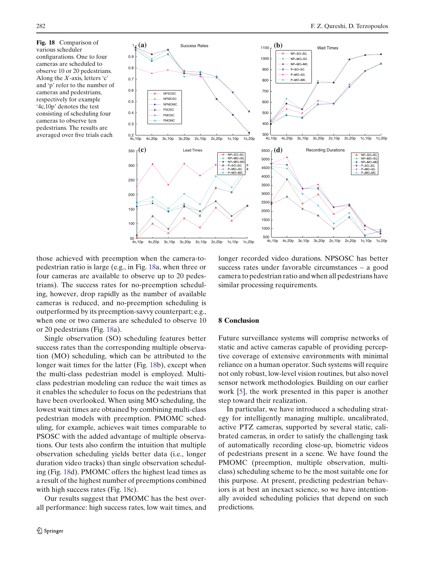**Fig. 18** Comparison of various scheduler configurations. One to four cameras are scheduled to observe 10 or 20 pedestrians. Along the *X*-axis, letters 'c' and 'p' refer to the number of cameras and pedestrians, respectively for example '4c,10p' denotes the test consisting of scheduling four cameras to observe ten pedestrians. The results are

<span id="page-13-1"></span>![](_page_13_Figure_3.jpeg)

those achieved with preemption when the camera-topedestrian ratio is large (e.g., in Fig. [18a](#page-13-1), when three or four cameras are available to observe up to 20 pedestrians). The success rates for no-preemption scheduling, however, drop rapidly as the number of available cameras is reduced, and no-preemption scheduling is outperformed by its preemption-savvy counterpart; e.g., when one or two cameras are scheduled to observe 10 or 20 pedestrians (Fig. [18a](#page-13-1)).

Single observation (SO) scheduling features better success rates than the corresponding multiple observation (MO) scheduling, which can be attributed to the longer wait times for the latter (Fig. [18b](#page-13-1)), except when the multi-class pedestrian model is employed. Multiclass pedestrian modeling can reduce the wait times as it enables the scheduler to focus on the pedestrians that have been overlooked. When using MO scheduling, the lowest wait times are obtained by combining multi-class pedestrian models with preemption. PMOMC scheduling, for example, achieves wait times comparable to PSOSC with the added advantage of multiple observations. Our tests also confirm the intuition that multiple observation scheduling yields better data (i.e., longer duration video tracks) than single observation scheduling (Fig. [18d](#page-13-1)). PMOMC offers the highest lead times as a result of the highest number of preemptions combined with high success rates (Fig. [18c](#page-13-1)).

Our results suggest that PMOMC has the best overall performance: high success rates, low wait times, and longer recorded video durations. NPSOSC has better success rates under favorable circumstances – a good camera to pedestrian ratio and when all pedestrians have similar processing requirements.

# <span id="page-13-0"></span>**8 Conclusion**

Future surveillance systems will comprise networks of static and active cameras capable of providing perceptive coverage of extensive environments with minimal reliance on a human operator. Such systems will require not only robust, low-level vision routines, but also novel sensor network methodologies. Building on our earlier work [\[5](#page-14-4)], the work presented in this paper is another step toward their realization.

In particular, we have introduced a scheduling strategy for intelligently managing multiple, uncalibrated, active PTZ cameras, supported by several static, calibrated cameras, in order to satisfy the challenging task of automatically recording close-up, biometric videos of pedestrians present in a scene. We have found the PMOMC (preemption, multiple observation, multiclass) scheduling scheme to be the most suitable one for this purpose. At present, predicting pedestrian behaviors is at best an inexact science, so we have intentionally avoided scheduling policies that depend on such predictions.